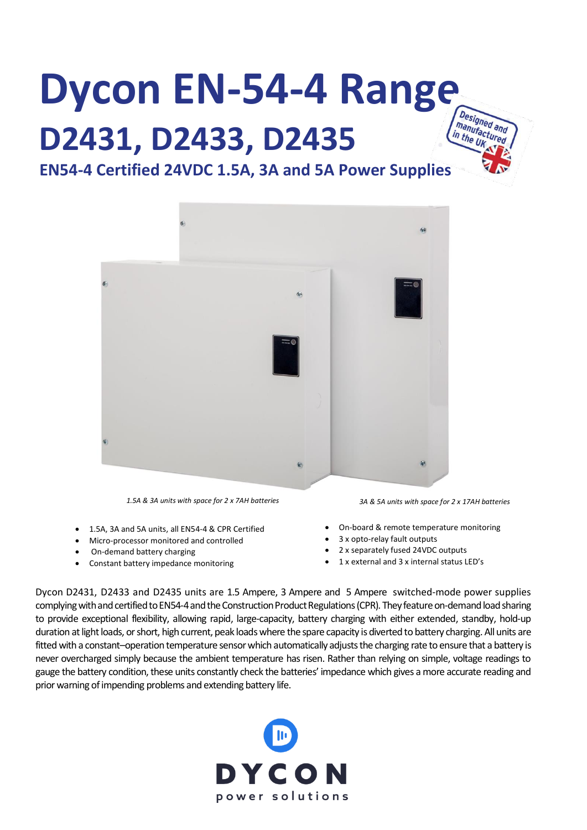# **Dycon EN-54-4 Range D2431, D2433, D2435**



## **EN54-4 Certified 24VDC 1.5A, 3A and 5A Power Supplies**



*1.5A & 3A units with space for 2 x 7AH batteries 3A & 5A units with space for 2 x 17AH batteries* 

- 1.5A, 3A and 5A units, all EN54-4 & CPR Certified
- Micro-processor monitored and controlled
- On-demand battery charging
- Constant battery impedance monitoring

- On-board & remote temperature monitoring
- 3 x opto-relay fault outputs
- 2 x separately fused 24VDC outputs
- 1 x external and 3 x internal status LED's

Dycon D2431, D2433 and D2435 units are 1.5 Ampere, 3 Ampere and 5 Ampere switched-mode power supplies . complying with and certified to EN54-4and the Construction Product Regulations(CPR). They feature on-demand load sharing to provide exceptional flexibility, allowing rapid, large-capacity, battery charging with either extended, standby, hold-up •duration at light loads, or short, high current, peak loads where the spare capacity is diverted to battery charging. All units are fitted with a constant–operation temperature sensor which automatically adjusts the charging rate to ensure that a battery is never overcharged simply because the ambient temperature has risen. Rather than relying on simple, voltage readings to gauge the battery condition, these units constantly check the batteries' impedance which gives a more accurate reading and prior warning of impending problems and extending battery life.

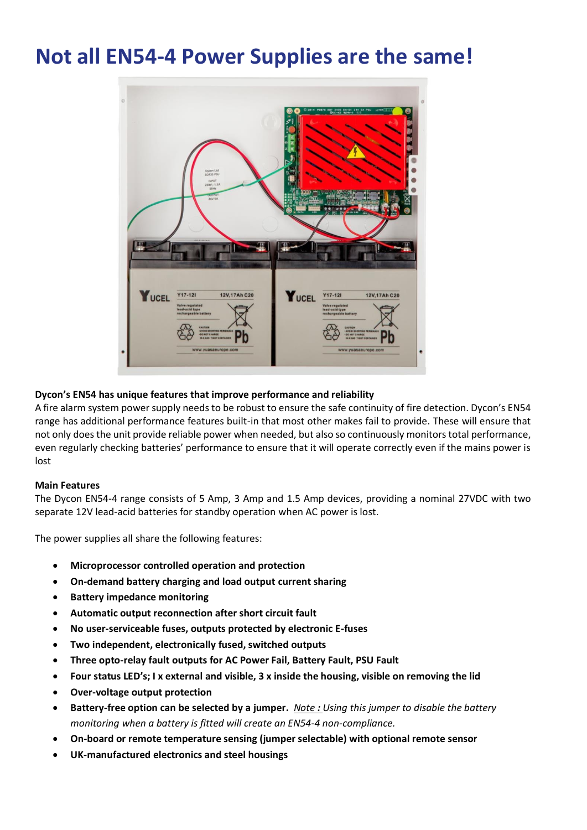## **Not all EN54-4 Power Supplies are the same!**



#### **Dycon's EN54 has unique features that improve performance and reliability**

A fire alarm system power supply needs to be robust to ensure the safe continuity of fire detection. Dycon's EN54 range has additional performance features built-in that most other makes fail to provide. These will ensure that not only does the unit provide reliable power when needed, but also so continuously monitors total performance, even regularly checking batteries' performance to ensure that it will operate correctly even if the mains power is lost

#### **Main Features**

The Dycon EN54-4 range consists of 5 Amp, 3 Amp and 1.5 Amp devices, providing a nominal 27VDC with two separate 12V lead-acid batteries for standby operation when AC power is lost.

The power supplies all share the following features:

- **Microprocessor controlled operation and protection**
- **On-demand battery charging and load output current sharing**
- **Battery impedance monitoring**
- **Automatic output reconnection after short circuit fault**
- **No user-serviceable fuses, outputs protected by electronic E-fuses**
- **Two independent, electronically fused, switched outputs**
- **Three opto-relay fault outputs for AC Power Fail, Battery Fault, PSU Fault**
- **Four status LED's; I x external and visible, 3 x inside the housing, visible on removing the lid**
- **Over-voltage output protection**
- **Battery-free option can be selected by a jumper.** *Note : Using this jumper to disable the battery monitoring when a battery is fitted will create an EN54-4 non-compliance.*
- **On-board or remote temperature sensing (jumper selectable) with optional remote sensor**
- **UK-manufactured electronics and steel housings**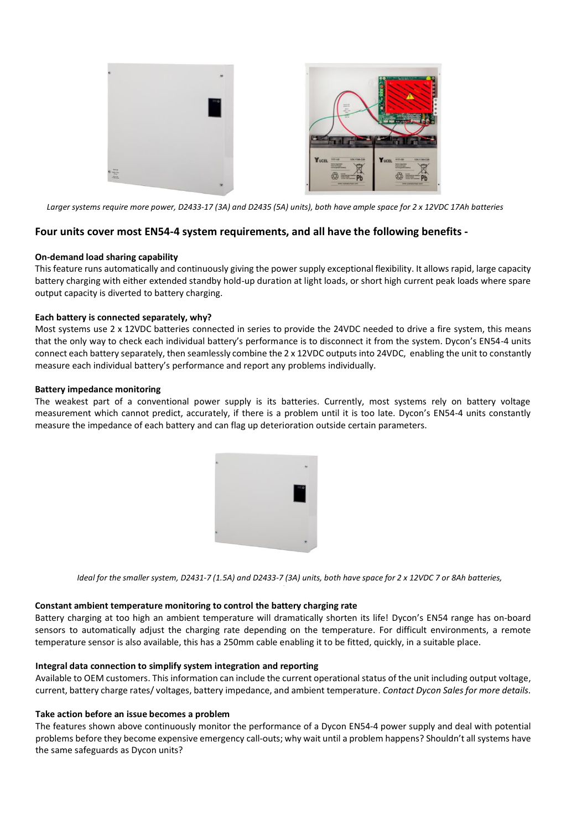

*Larger systems require more power, D2433-17 (3A) and D2435 (5A) units), both have ample space for 2 x 12VDC 17Ah batteries* 

#### **Four units cover most EN54-4 system requirements, and all have the following benefits -**

#### **On-demand load sharing capability**

This feature runs automatically and continuously giving the power supply exceptional flexibility. It allows rapid, large capacity battery charging with either extended standby hold-up duration at light loads, or short high current peak loads where spare output capacity is diverted to battery charging.

#### **Each battery is connected separately, why?**

Most systems use 2 x 12VDC batteries connected in series to provide the 24VDC needed to drive a fire system, this means that the only way to check each individual battery's performance is to disconnect it from the system. Dycon's EN54-4 units connect each battery separately, then seamlessly combine the 2 x 12VDC outputs into 24VDC, enabling the unit to constantly measure each individual battery's performance and report any problems individually.

#### **Battery impedance monitoring**

The weakest part of a conventional power supply is its batteries. Currently, most systems rely on battery voltage measurement which cannot predict, accurately, if there is a problem until it is too late. Dycon's EN54-4 units constantly measure the impedance of each battery and can flag up deterioration outside certain parameters.



*Ideal for the smaller system, D2431-7 (1.5A) and D2433-7 (3A) units, both have space for 2 x 12VDC 7 or 8Ah batteries, requirements*

#### **Constant ambient temperature monitoring to control the battery charging rate**

Battery charging at too high an ambient temperature will dramatically shorten its life! Dycon's EN54 range has on-board sensors to automatically adjust the charging rate depending on the temperature. For difficult environments, a remote temperature sensor is also available, this has a 250mm cable enabling it to be fitted, quickly, in a suitable place.

#### **Integral data connection to simplify system integration and reporting**

Available to OEM customers. This information can include the current operational status of the unit including output voltage, current, battery charge rates/ voltages, battery impedance, and ambient temperature. *Contact Dycon Sales for more details.*

#### **Take action before an issue becomes a problem**

The features shown above continuously monitor the performance of a Dycon EN54-4 power supply and deal with potential problems before they become expensive emergency call-outs; why wait until a problem happens? Shouldn't all systems have the same safeguards as Dycon units?